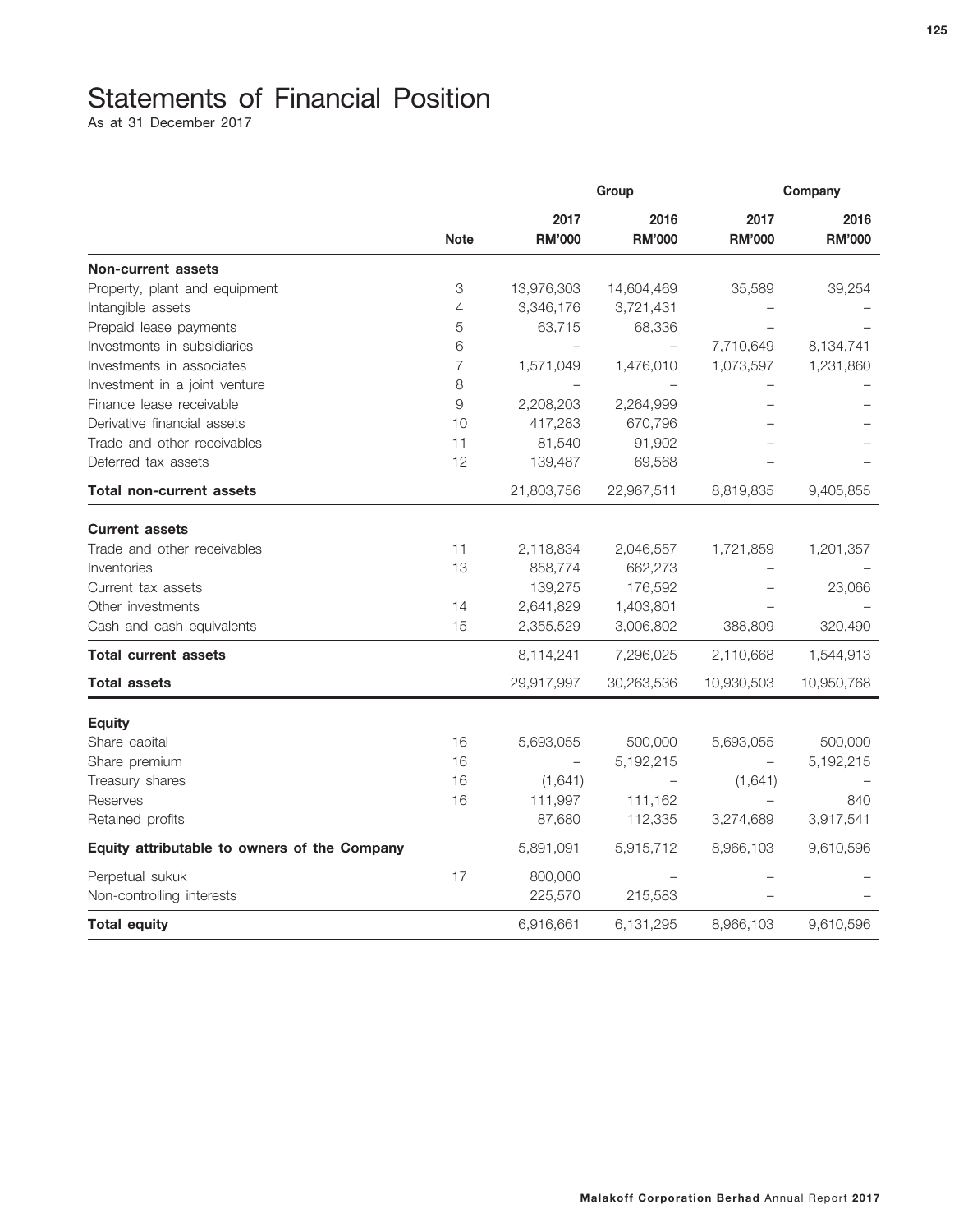## Statements of Financial Position

As at 31 December 2017

|                                              |                | Group                 |                       | Company               |                       |
|----------------------------------------------|----------------|-----------------------|-----------------------|-----------------------|-----------------------|
|                                              | <b>Note</b>    | 2017<br><b>RM'000</b> | 2016<br><b>RM'000</b> | 2017<br><b>RM'000</b> | 2016<br><b>RM'000</b> |
|                                              |                |                       |                       |                       |                       |
| <b>Non-current assets</b>                    |                |                       |                       |                       |                       |
| Property, plant and equipment                | 3              | 13,976,303            | 14,604,469            | 35,589                | 39,254                |
| Intangible assets                            | 4              | 3,346,176             | 3,721,431             |                       |                       |
| Prepaid lease payments                       | 5              | 63,715                | 68,336                |                       |                       |
| Investments in subsidiaries                  | 6              |                       |                       | 7,710,649             | 8,134,741             |
| Investments in associates                    | $\overline{7}$ | 1,571,049             | 1,476,010             | 1,073,597             | 1,231,860             |
| Investment in a joint venture                | 8              |                       |                       |                       |                       |
| Finance lease receivable                     | 9              | 2,208,203             | 2,264,999             |                       |                       |
| Derivative financial assets                  | 10             | 417,283               | 670,796               |                       |                       |
| Trade and other receivables                  | 11             | 81,540                | 91,902                |                       |                       |
| Deferred tax assets                          | 12             | 139,487               | 69,568                |                       |                       |
| Total non-current assets                     |                | 21,803,756            | 22,967,511            | 8,819,835             | 9,405,855             |
| <b>Current assets</b>                        |                |                       |                       |                       |                       |
| Trade and other receivables                  | 11             | 2,118,834             | 2,046,557             | 1,721,859             | 1,201,357             |
| Inventories                                  | 13             | 858,774               | 662,273               |                       |                       |
| Current tax assets                           |                | 139,275               | 176,592               |                       | 23,066                |
| Other investments                            | 14             | 2,641,829             | 1,403,801             |                       |                       |
| Cash and cash equivalents                    | 15             | 2,355,529             | 3,006,802             | 388,809               | 320,490               |
| <b>Total current assets</b>                  |                | 8,114,241             | 7,296,025             | 2,110,668             | 1,544,913             |
| <b>Total assets</b>                          |                | 29,917,997            | 30,263,536            | 10,930,503            | 10,950,768            |
| <b>Equity</b>                                |                |                       |                       |                       |                       |
| Share capital                                | 16             | 5,693,055             | 500,000               | 5,693,055             | 500,000               |
| Share premium                                | 16             |                       | 5,192,215             |                       | 5,192,215             |
| Treasury shares                              | 16             | (1,641)               |                       | (1,641)               |                       |
| Reserves                                     | 16             | 111,997               | 111,162               |                       | 840                   |
| Retained profits                             |                | 87,680                | 112,335               | 3,274,689             | 3,917,541             |
| Equity attributable to owners of the Company |                | 5,891,091             | 5,915,712             | 8,966,103             | 9,610,596             |
| Perpetual sukuk                              | 17             | 800,000               |                       |                       |                       |
| Non-controlling interests                    |                | 225,570               | 215,583               |                       |                       |
| <b>Total equity</b>                          |                | 6,916,661             | 6,131,295             | 8,966,103             | 9,610,596             |